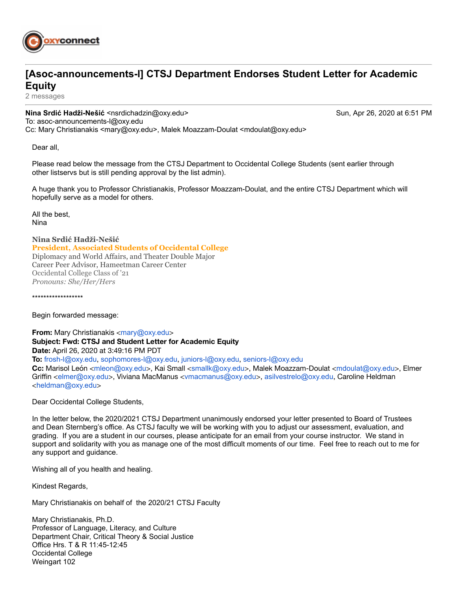

## **[Asoc-announcements-l] CTSJ Department Endorses Student Letter for Academic Equity**

2 messages

**Nina Srdić Hadži-Nešić <nsrdichadzin@oxy.edu> Sun, Apr 26, 2020 at 6:51 PM** To: asoc-announcements-l@oxy.edu Cc: Mary Christianakis <mary@oxy.edu>, Malek Moazzam-Doulat <mdoulat@oxy.edu>

Dear all,

Please read below the message from the CTSJ Department to Occidental College Students (sent earlier through other listservs but is still pending approval by the list admin).

A huge thank you to Professor Christianakis, Professor Moazzam-Doulat, and the entire CTSJ Department which will hopefully serve as a model for others.

All the best, Nina

**Nina Srdić Hadži-Nešić President, Associated Students of Occidental College** Diplomacy and World Affairs, and Theater Double Major Career Peer Advisor, Hameetman Career Center Occidental College Class of '21 *Pronouns: She/Her/Hers*

\*\*\*\*\*\*\*\*\*\*\*\*\*\*\*\*\*\*

Begin forwarded message:

**From:** Mary Christianakis <[mary@oxy.edu](mailto:mary@oxy.edu)> **Subject: Fwd: CTSJ and Student Letter for Academic Equity Date:** April 26, 2020 at 3:49:16 PM PDT **To:** [frosh-l@oxy.edu](mailto:frosh-l@oxy.edu), [sophomores-l@oxy.edu](mailto:sophomores-l@oxy.edu), [juniors-l@oxy.edu](mailto:juniors-l@oxy.edu), [seniors-l@oxy.edu](mailto:seniors-l@oxy.edu) **Cc:** Marisol León <[mleon@oxy.edu](mailto:mleon@oxy.edu)>, Kai Small <[smallk@oxy.edu](mailto:smallk@oxy.edu)>, Malek Moazzam-Doulat <[mdoulat@oxy.edu](mailto:mdoulat@oxy.edu)>, Elmer Griffin <[elmer@oxy.edu](mailto:elmer@oxy.edu)>, Viviana MacManus <[vmacmanus@oxy.edu](mailto:vmacmanus@oxy.edu)>, [asilvestrelo@oxy.edu](mailto:asilvestrelo@oxy.edu), Caroline Heldman <[heldman@oxy.edu](mailto:heldman@oxy.edu)>

Dear Occidental College Students,

In the letter below, the 2020/2021 CTSJ Department unanimously endorsed your letter presented to Board of Trustees and Dean Sternberg's office. As CTSJ faculty we will be working with you to adjust our assessment, evaluation, and grading. If you are a student in our courses, please anticipate for an email from your course instructor. We stand in support and solidarity with you as manage one of the most difficult moments of our time. Feel free to reach out to me for any support and guidance.

Wishing all of you health and healing.

Kindest Regards,

Mary Christianakis on behalf of the 2020/21 CTSJ Faculty

Mary Christianakis, Ph.D. Professor of Language, Literacy, and Culture Department Chair, Critical Theory & Social Justice Office Hrs. T & R 11:45-12:45 Occidental College Weingart 102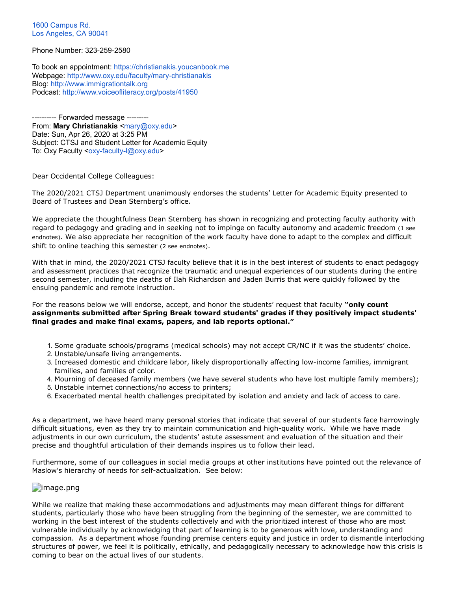[1600 Campus Rd.](https://www.google.com/maps/search/1600+Campus+Rd.+Los+Angeles,+CA+90041?entry=gmail&source=g) [Los Angeles, CA 90041](https://www.google.com/maps/search/1600+Campus+Rd.+Los+Angeles,+CA+90041?entry=gmail&source=g)

Phone Number: 323-259-2580

To book an appointment: [https://christianakis.youcanbook.me](https://christianakis.youcanbook.me/) Webpage:<http://www.oxy.edu/faculty/mary-christianakis> Blog: [http://www.immigrationtalk.org](http://www.immigrationtalk.org/) Podcast: <http://www.voiceofliteracy.org/posts/41950>

---------- Forwarded message --------- From: Mary Christianakis [<mary@oxy.edu](mailto:mary@oxy.edu)> Date: Sun, Apr 26, 2020 at 3:25 PM Subject: CTSJ and Student Letter for Academic Equity To: Oxy Faculty <[oxy-faculty-l@oxy.edu](mailto:oxy-faculty-l@oxy.edu)>

Dear Occidental College Colleagues:

The 2020/2021 CTSJ Department unanimously endorses the students' Letter for Academic Equity presented to Board of Trustees and Dean Sternberg's office.

We appreciate the thoughtfulness Dean Sternberg has shown in recognizing and protecting faculty authority with regard to pedagogy and grading and in seeking not to impinge on faculty autonomy and academic freedom (1 see endnotes). We also appreciate her recognition of the work faculty have done to adapt to the complex and difficult shift to online teaching this semester (2 see endnotes).

With that in mind, the 2020/2021 CTSJ faculty believe that it is in the best interest of students to enact pedagogy and assessment practices that recognize the traumatic and unequal experiences of our students during the entire second semester, including the deaths of Ilah Richardson and Jaden Burris that were quickly followed by the ensuing pandemic and remote instruction.

For the reasons below we will endorse, accept, and honor the students' request that faculty **"only count assignments submitted after Spring Break toward students' grades if they positively impact students' final grades and make final exams, papers, and lab reports optional."**

- 1. Some graduate schools/programs (medical schools) may not accept CR/NC if it was the students' choice.
- 2. Unstable/unsafe living arrangements.
- 3. Increased domestic and childcare labor, likely disproportionally affecting low-income families, immigrant families, and families of color.
- 4. Mourning of deceased family members (we have several students who have lost multiple family members);
- 5. Unstable internet connections/no access to printers;
- 6. Exacerbated mental health challenges precipitated by isolation and anxiety and lack of access to care.

As a department, we have heard many personal stories that indicate that several of our students face harrowingly difficult situations, even as they try to maintain communication and high-quality work. While we have made adjustments in our own curriculum, the students' astute assessment and evaluation of the situation and their precise and thoughtful articulation of their demands inspires us to follow their lead.

Furthermore, some of our colleagues in social media groups at other institutions have pointed out the relevance of Maslow's hierarchy of needs for self-actualization. See below:

## **D**image.png

While we realize that making these accommodations and adjustments may mean different things for different students, particularly those who have been struggling from the beginning of the semester, we are committed to working in the best interest of the students collectively and with the prioritized interest of those who are most vulnerable individually by acknowledging that part of learning is to be generous with love, understanding and compassion. As a department whose founding premise centers equity and justice in order to dismantle interlocking structures of power, we feel it is politically, ethically, and pedagogically necessary to acknowledge how this crisis is coming to bear on the actual lives of our students.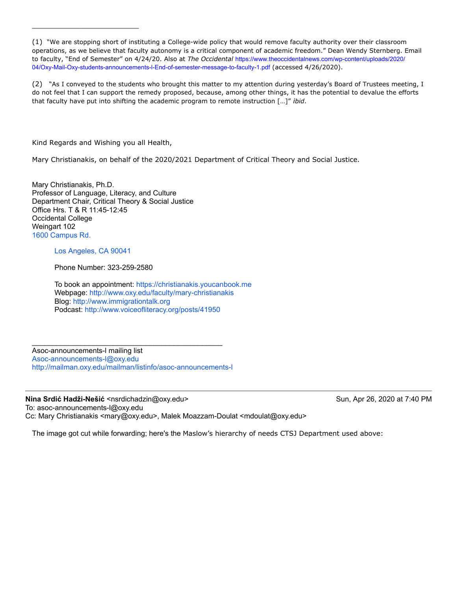(2) "As I conveyed to the students who brought this matter to my attention during yesterday's Board of Trustees meeting, I do not feel that I can support the remedy proposed, because, among other things, it has the potential to devalue the efforts that faculty have put into shifting the academic program to remote instruction […]" *ibid*.

Kind Regards and Wishing you all Health,

\_\_\_\_\_\_\_\_\_\_\_\_\_\_\_\_\_\_\_\_\_\_\_\_\_

Mary Christianakis, on behalf of the 2020/2021 Department of Critical Theory and Social Justice.

Mary Christianakis, Ph.D. Professor of Language, Literacy, and Culture Department Chair, Critical Theory & Social Justice Office Hrs. T & R 11:45-12:45 Occidental College Weingart 102 [1600 Campus Rd.](https://www.google.com/maps/search/1600+Campus+Rd.+Los+Angeles,+CA+90041?entry=gmail&source=g)

## [Los Angeles, CA 90041](https://www.google.com/maps/search/1600+Campus+Rd.+Los+Angeles,+CA+90041?entry=gmail&source=g)

Phone Number: 323-259-2580

To book an appointment: [https://christianakis.youcanbook.me](https://christianakis.youcanbook.me/) Webpage:<http://www.oxy.edu/faculty/mary-christianakis> Blog: [http://www.immigrationtalk.org](http://www.immigrationtalk.org/) Podcast: <http://www.voiceofliteracy.org/posts/41950>

Asoc-announcements-l mailing list [Asoc-announcements-l@oxy.edu](mailto:Asoc-announcements-l@oxy.edu) <http://mailman.oxy.edu/mailman/listinfo/asoc-announcements-l>

\_\_\_\_\_\_\_\_\_\_\_\_\_\_\_\_\_\_\_\_\_\_\_\_\_\_\_\_\_\_\_\_\_\_\_\_\_\_\_\_\_\_\_\_\_\_\_

**Nina Srdić Hadži-Nešić <nsrdichadzin@oxy.edu> Sun, Apr 26, 2020 at 7:40 PM** To: asoc-announcements-l@oxy.edu Cc: Mary Christianakis <mary@oxy.edu>, Malek Moazzam-Doulat <mdoulat@oxy.edu>

The image got cut while forwarding; here's the Maslow's hierarchy of needs CTSJ Department used above:

<sup>(1)</sup> "We are stopping short of instituting a College-wide policy that would remove faculty authority over their classroom operations, as we believe that faculty autonomy is a critical component of academic freedom." Dean Wendy Sternberg. Email to faculty, "End of Semester" on 4/24/20. Also at *The Occidental* https://www.theoccidentalnews.com/wp-content/uploads/2020/ [04/Oxy-Mail-Oxy-students-announcements-l-End-of-semester-message-to-faculty-1.pdf](https://www.theoccidentalnews.com/wp-content/uploads/2020/04/Oxy-Mail-Oxy-students-announcements-l-End-of-semester-message-to-faculty-1.pdf) (accessed 4/26/2020).